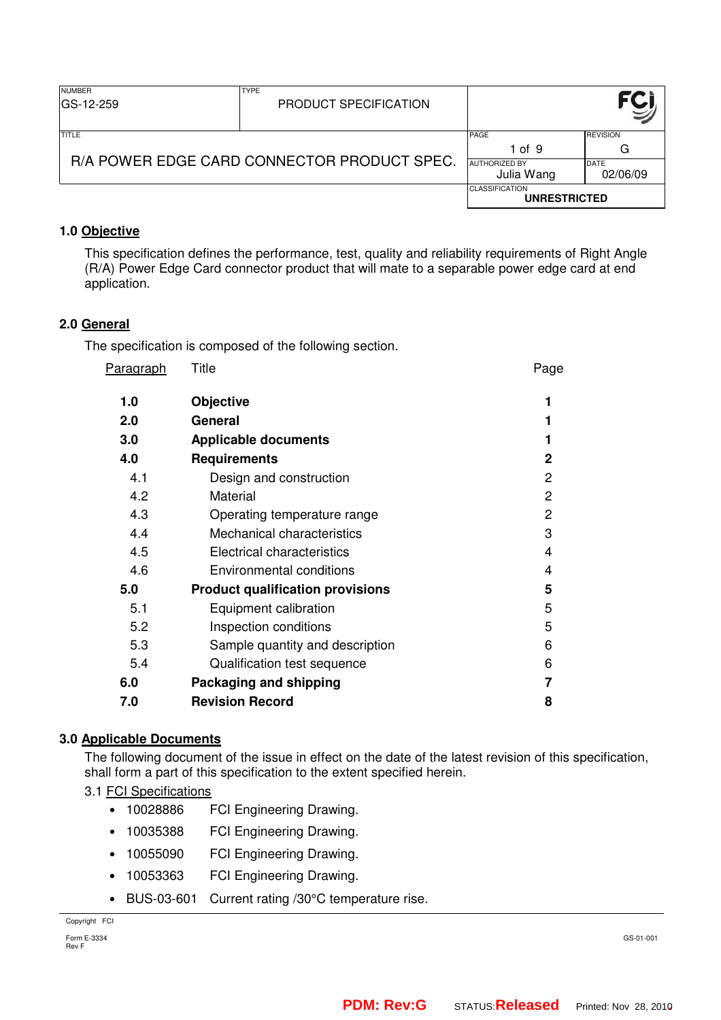| <b>NUMBER</b><br>IGS-12-259                 | <b>TYPE</b><br>PRODUCT SPECIFICATION |                                              |                         |
|---------------------------------------------|--------------------------------------|----------------------------------------------|-------------------------|
| TITLE                                       |                                      | <b>PAGE</b><br>1 of 9                        | <b>REVISION</b><br>G    |
| R/A POWER EDGE CARD CONNECTOR PRODUCT SPEC. |                                      | <b>AUTHORIZED BY</b><br>Julia Wang           | <b>DATE</b><br>02/06/09 |
|                                             |                                      | <b>CLASSIFICATION</b><br><b>UNRESTRICTED</b> |                         |

# **1.0 Objective**

This specification defines the performance, test, quality and reliability requirements of Right Angle (R/A) Power Edge Card connector product that will mate to a separable power edge card at end application.

# **2.0 General**

The specification is composed of the following section.

| Title                                   | Page           |
|-----------------------------------------|----------------|
| <b>Objective</b>                        |                |
| General                                 |                |
| <b>Applicable documents</b>             |                |
| <b>Requirements</b>                     | $\mathbf{2}$   |
| Design and construction                 | $\overline{2}$ |
| Material                                | $\overline{2}$ |
| Operating temperature range             | $\overline{2}$ |
| Mechanical characteristics              | 3              |
| Electrical characteristics              | 4              |
| Environmental conditions                | 4              |
| <b>Product qualification provisions</b> | 5              |
| Equipment calibration                   | 5              |
| Inspection conditions                   | 5              |
| Sample quantity and description         | 6              |
| Qualification test sequence             | 6              |
| Packaging and shipping                  |                |
| <b>Revision Record</b>                  | 8              |
|                                         |                |

## **3.0 Applicable Documents**

The following document of the issue in effect on the date of the latest revision of this specification, shall form a part of this specification to the extent specified herein.

## 3.1 FCI Specifications

- 10028886 FCI Engineering Drawing.
- 10035388 FCI Engineering Drawing.
- 10055090 FCI Engineering Drawing.
- 10053363 FCI Engineering Drawing.
- BUS-03-601 Current rating /30°C temperature rise.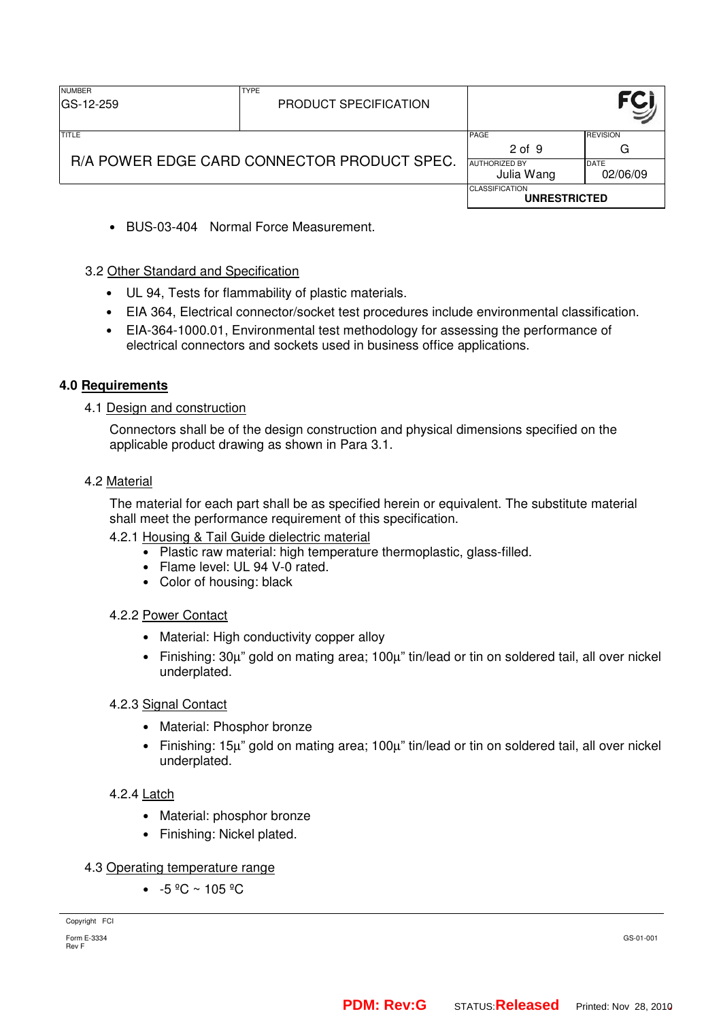| <b>NUMBER</b><br>IGS-12-259                 | <b>TYPE</b><br>PRODUCT SPECIFICATION |                                              |                         |
|---------------------------------------------|--------------------------------------|----------------------------------------------|-------------------------|
| TITLE                                       |                                      | PAGE<br>$2$ of $9$                           | <b>REVISION</b><br>G    |
| R/A POWER EDGE CARD CONNECTOR PRODUCT SPEC. |                                      | <b>AUTHORIZED BY</b><br>Julia Wang           | <b>DATE</b><br>02/06/09 |
|                                             |                                      | <b>CLASSIFICATION</b><br><b>UNRESTRICTED</b> |                         |

• BUS-03-404 Normal Force Measurement.

## 3.2 Other Standard and Specification

- UL 94, Tests for flammability of plastic materials.
- EIA 364, Electrical connector/socket test procedures include environmental classification.
- EIA-364-1000.01, Environmental test methodology for assessing the performance of electrical connectors and sockets used in business office applications.

## **4.0 Requirements**

#### 4.1 Design and construction

Connectors shall be of the design construction and physical dimensions specified on the applicable product drawing as shown in Para 3.1.

#### 4.2 Material

The material for each part shall be as specified herein or equivalent. The substitute material shall meet the performance requirement of this specification.

- 4.2.1 Housing & Tail Guide dielectric material
	- Plastic raw material: high temperature thermoplastic, glass-filled.
	- Flame level: UL 94 V-0 rated.
	- Color of housing: black

#### 4.2.2 Power Contact

- Material: High conductivity copper alloy
- Finishing: 30µ" gold on mating area; 100µ" tin/lead or tin on soldered tail, all over nickel underplated.

#### 4.2.3 Signal Contact

- Material: Phosphor bronze
- Finishing: 15µ" gold on mating area; 100µ" tin/lead or tin on soldered tail, all over nickel underplated.

#### 4.2.4 Latch

- Material: phosphor bronze
- Finishing: Nickel plated.

## 4.3 Operating temperature range

•  $-5 \frac{9}{5}$  ~ 105  $^{\circ}$ C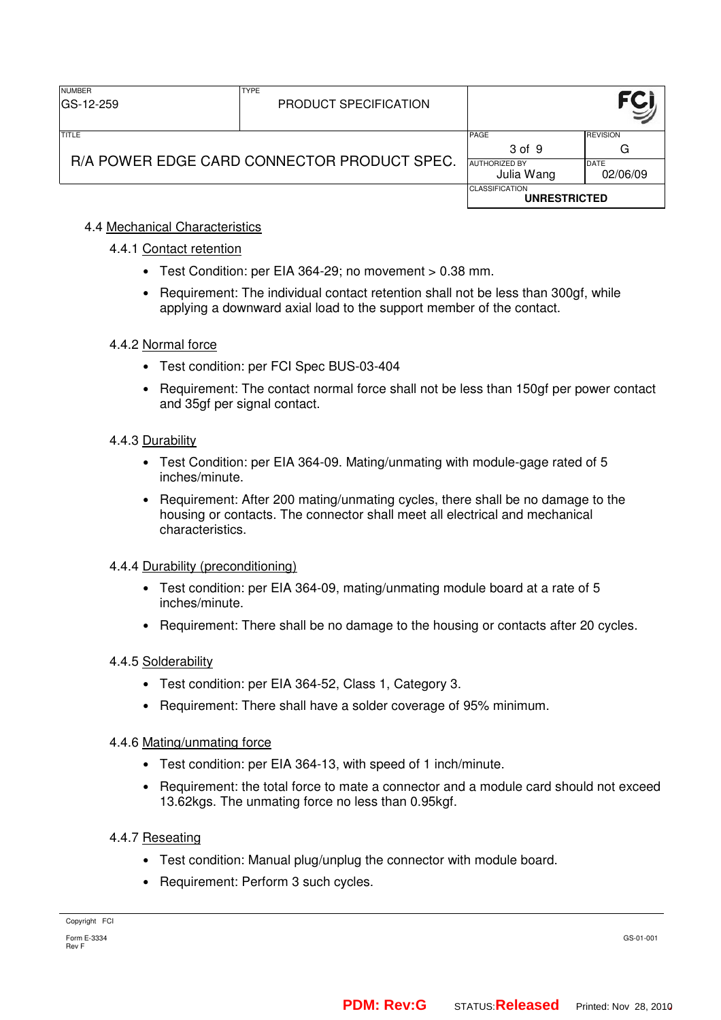| <b>NUMBER</b><br>IGS-12-259                 | <b>TYPE</b><br>PRODUCT SPECIFICATION |                                              |                         |
|---------------------------------------------|--------------------------------------|----------------------------------------------|-------------------------|
| TITLE                                       |                                      | PAGE<br>3 of 9                               | <b>REVISION</b><br>G    |
| R/A POWER EDGE CARD CONNECTOR PRODUCT SPEC. |                                      | <b>AUTHORIZED BY</b><br>Julia Wang           | <b>DATE</b><br>02/06/09 |
|                                             |                                      | <b>CLASSIFICATION</b><br><b>UNRESTRICTED</b> |                         |

## 4.4 Mechanical Characteristics

## 4.4.1 Contact retention

- Test Condition: per EIA 364-29; no movement > 0.38 mm.
- Requirement: The individual contact retention shall not be less than 300gf, while applying a downward axial load to the support member of the contact.

# 4.4.2 Normal force

- Test condition: per FCI Spec BUS-03-404
- Requirement: The contact normal force shall not be less than 150gf per power contact and 35gf per signal contact.

## 4.4.3 Durability

- Test Condition: per EIA 364-09. Mating/unmating with module-gage rated of 5 inches/minute.
- Requirement: After 200 mating/unmating cycles, there shall be no damage to the housing or contacts. The connector shall meet all electrical and mechanical characteristics.

## 4.4.4 Durability (preconditioning)

- Test condition: per EIA 364-09, mating/unmating module board at a rate of 5 inches/minute.
- Requirement: There shall be no damage to the housing or contacts after 20 cycles.

## 4.4.5 Solderability

- Test condition: per EIA 364-52, Class 1, Category 3.
- Requirement: There shall have a solder coverage of 95% minimum.

## 4.4.6 Mating/unmating force

- Test condition: per EIA 364-13, with speed of 1 inch/minute.
- Requirement: the total force to mate a connector and a module card should not exceed 13.62kgs. The unmating force no less than 0.95kgf.

## 4.4.7 Reseating

- Test condition: Manual plug/unplug the connector with module board.
- Requirement: Perform 3 such cycles.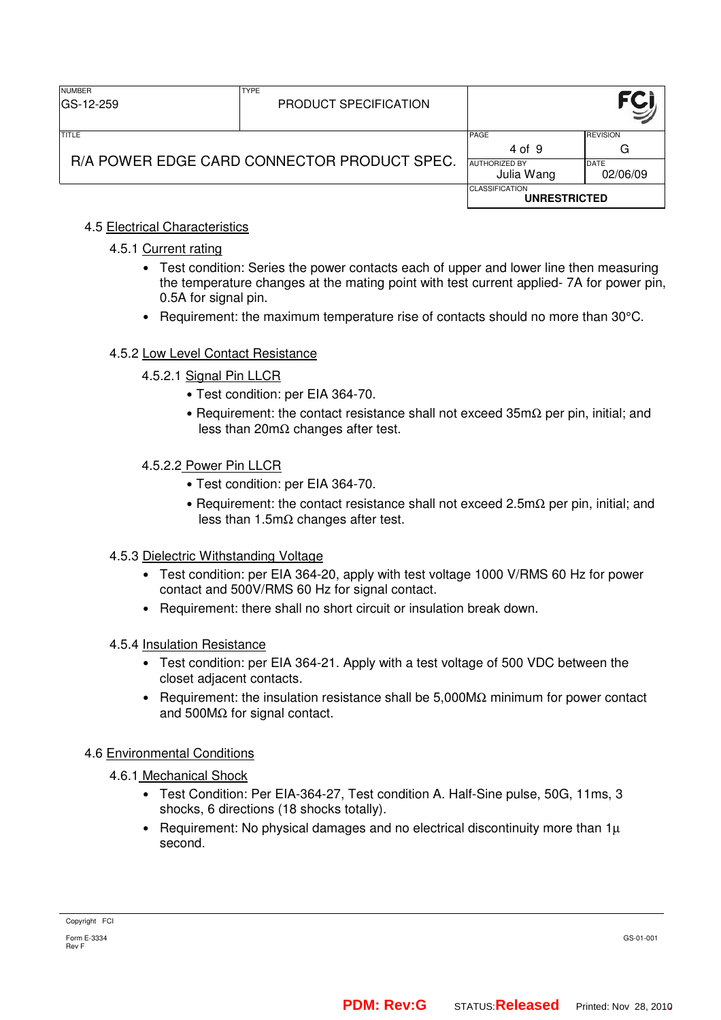| <b>NUMBER</b><br>GS-12-259                  | <b>TYPE</b><br>PRODUCT SPECIFICATION |                                              |                          |
|---------------------------------------------|--------------------------------------|----------------------------------------------|--------------------------|
| TITLE                                       |                                      | PAGE<br>4 of 9                               | <b>REVISION</b><br>G     |
| R/A POWER EDGE CARD CONNECTOR PRODUCT SPEC. |                                      | <b>AUTHORIZED BY</b><br>Julia Wang           | <b>IDATE</b><br>02/06/09 |
|                                             |                                      | <b>CLASSIFICATION</b><br><b>UNRESTRICTED</b> |                          |

# 4.5 Electrical Characteristics

## 4.5.1 Current rating

- Test condition: Series the power contacts each of upper and lower line then measuring the temperature changes at the mating point with test current applied- 7A for power pin, 0.5A for signal pin.
- Requirement: the maximum temperature rise of contacts should no more than 30°C.

## 4.5.2 Low Level Contact Resistance

- 4.5.2.1 Signal Pin LLCR
	- Test condition: per EIA 364-70.
	- Requirement: the contact resistance shall not exceed 35mΩ per pin, initial; and less than 20mΩ changes after test.
- 4.5.2.2 Power Pin LLCR
	- Test condition: per EIA 364-70.
	- Requirement: the contact resistance shall not exceed 2.5mΩ per pin, initial; and less than 1.5m $\Omega$  changes after test.

## 4.5.3 Dielectric Withstanding Voltage

- Test condition: per EIA 364-20, apply with test voltage 1000 V/RMS 60 Hz for power contact and 500V/RMS 60 Hz for signal contact.
- Requirement: there shall no short circuit or insulation break down.

#### 4.5.4 Insulation Resistance

- Test condition: per EIA 364-21. Apply with a test voltage of 500 VDC between the closet adjacent contacts.
- Requirement: the insulation resistance shall be  $5.000M\Omega$  minimum for power contact and 500MΩ for signal contact.

## 4.6 Environmental Conditions

## 4.6.1 Mechanical Shock

- Test Condition: Per EIA-364-27, Test condition A. Half-Sine pulse, 50G, 11ms, 3 shocks, 6 directions (18 shocks totally).
- Requirement: No physical damages and no electrical discontinuity more than  $1\mu$ second.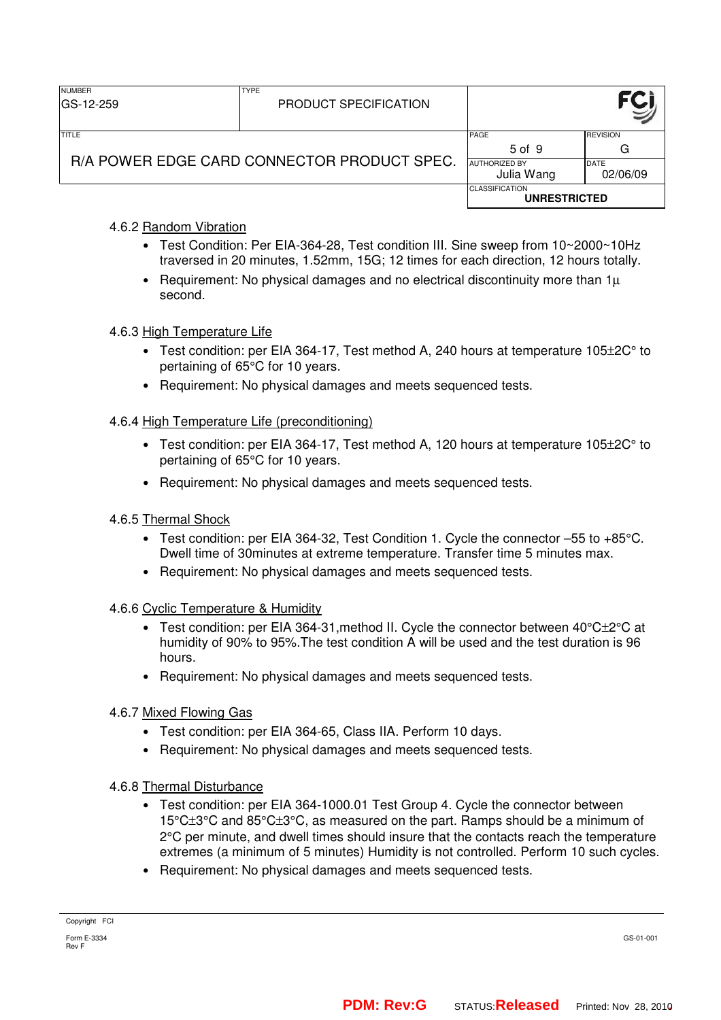| <b>NUMBER</b><br>GS-12-259                  | <b>TYPE</b><br>PRODUCT SPECIFICATION |                                              |                         |
|---------------------------------------------|--------------------------------------|----------------------------------------------|-------------------------|
| TITLE                                       |                                      | <b>PAGE</b><br>5 of 9                        | <b>REVISION</b><br>G    |
| R/A POWER EDGE CARD CONNECTOR PRODUCT SPEC. |                                      | <b>AUTHORIZED BY</b><br>Julia Wang           | <b>DATE</b><br>02/06/09 |
|                                             |                                      | <b>CLASSIFICATION</b><br><b>UNRESTRICTED</b> |                         |

# 4.6.2 Random Vibration

- Test Condition: Per EIA-364-28, Test condition III. Sine sweep from 10~2000~10Hz traversed in 20 minutes, 1.52mm, 15G; 12 times for each direction, 12 hours totally.
- Requirement: No physical damages and no electrical discontinuity more than  $1\mu$ second.

## 4.6.3 High Temperature Life

- Test condition: per EIA 364-17, Test method A, 240 hours at temperature 105±2C° to pertaining of 65°C for 10 years.
- Requirement: No physical damages and meets sequenced tests.

## 4.6.4 High Temperature Life (preconditioning)

- Test condition: per EIA 364-17, Test method A, 120 hours at temperature  $105\pm20^\circ$  to pertaining of 65°C for 10 years.
- Requirement: No physical damages and meets sequenced tests.

## 4.6.5 Thermal Shock

- Test condition: per EIA 364-32, Test Condition 1. Cycle the connector –55 to +85°C. Dwell time of 30minutes at extreme temperature. Transfer time 5 minutes max.
- Requirement: No physical damages and meets sequenced tests.
- 4.6.6 Cyclic Temperature & Humidity
	- Test condition: per EIA 364-31, method II. Cycle the connector between  $40^{\circ}$ C $\pm$ 2 $^{\circ}$ C at humidity of 90% to 95%.The test condition A will be used and the test duration is 96 hours.
	- Requirement: No physical damages and meets sequenced tests.
- 4.6.7 Mixed Flowing Gas
	- Test condition: per EIA 364-65, Class IIA. Perform 10 days.
	- Requirement: No physical damages and meets sequenced tests.

## 4.6.8 Thermal Disturbance

- Test condition: per EIA 364-1000.01 Test Group 4. Cycle the connector between 15°C±3°C and 85°C±3°C, as measured on the part. Ramps should be a minimum of 2°C per minute, and dwell times should insure that the contacts reach the temperature extremes (a minimum of 5 minutes) Humidity is not controlled. Perform 10 such cycles.
- Requirement: No physical damages and meets sequenced tests.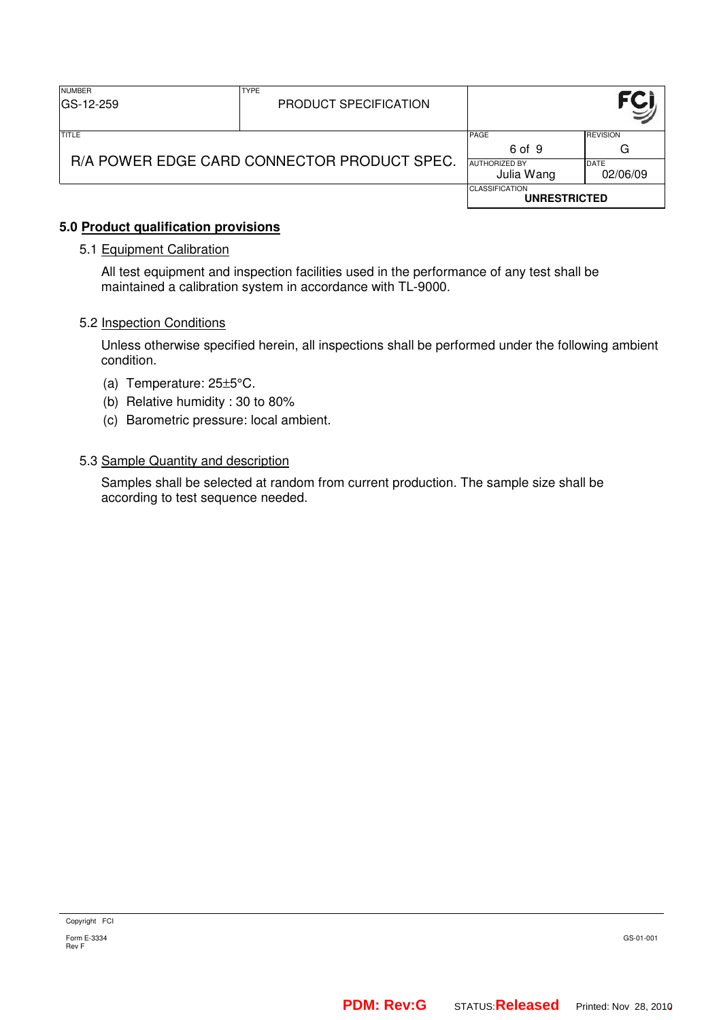| <b>NUMBER</b><br>IGS-12-259                 | <b>TYPE</b><br>PRODUCT SPECIFICATION |                                              |                         |
|---------------------------------------------|--------------------------------------|----------------------------------------------|-------------------------|
| TITLE                                       |                                      | PAGE<br>6 of 9                               | <b>REVISION</b><br>G    |
| R/A POWER EDGE CARD CONNECTOR PRODUCT SPEC. |                                      | <b>AUTHORIZED BY</b><br>Julia Wang           | <b>DATE</b><br>02/06/09 |
|                                             |                                      | <b>CLASSIFICATION</b><br><b>UNRESTRICTED</b> |                         |

## **5.0 Product qualification provisions**

## 5.1 Equipment Calibration

All test equipment and inspection facilities used in the performance of any test shall be maintained a calibration system in accordance with TL-9000.

#### 5.2 Inspection Conditions

Unless otherwise specified herein, all inspections shall be performed under the following ambient condition.

- (a) Temperature: 25±5°C.
- (b) Relative humidity : 30 to 80%
- (c) Barometric pressure: local ambient.

#### 5.3 Sample Quantity and description

Samples shall be selected at random from current production. The sample size shall be according to test sequence needed.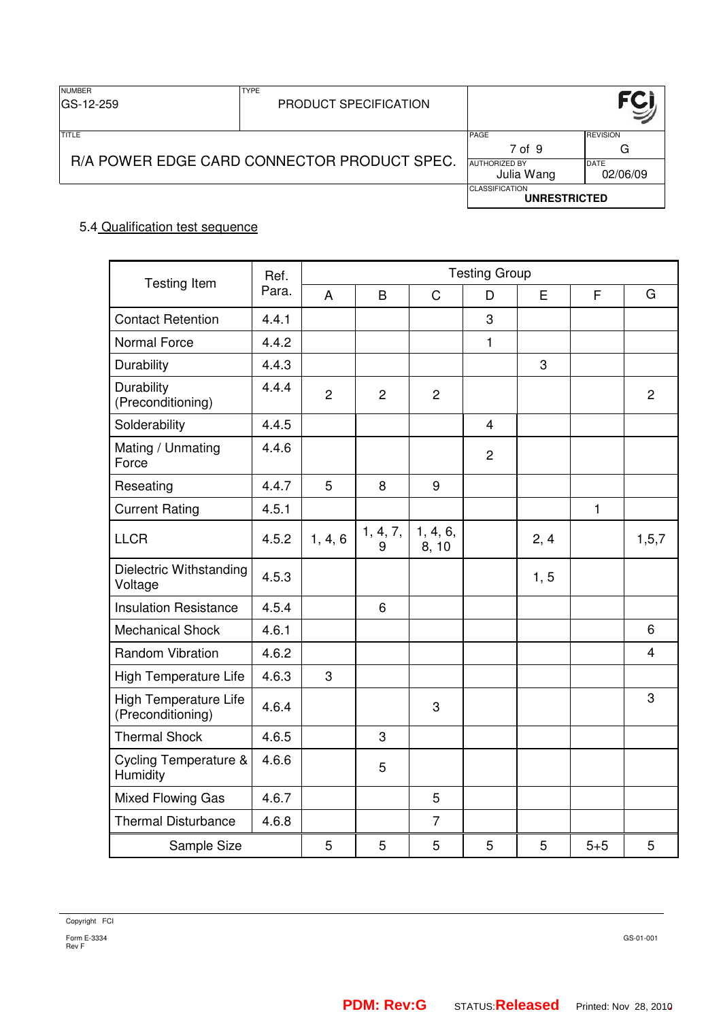| <b>NUMBER</b><br>GS-12-259                  | <b>TYPE</b><br>PRODUCT SPECIFICATION |                                              |                         |
|---------------------------------------------|--------------------------------------|----------------------------------------------|-------------------------|
| <b>TITLE</b>                                |                                      | PAGE<br>7 of 9                               | <b>REVISION</b><br>G    |
| R/A POWER EDGE CARD CONNECTOR PRODUCT SPEC. |                                      | <b>AUTHORIZED BY</b><br>Julia Wang           | <b>DATE</b><br>02/06/09 |
|                                             |                                      | <b>CLASSIFICATION</b><br><b>UNRESTRICTED</b> |                         |

# 5.4 Qualification test sequence

| <b>Testing Item</b>                          | Ref.  |                | <b>Testing Group</b> |                   |              |      |              |                |
|----------------------------------------------|-------|----------------|----------------------|-------------------|--------------|------|--------------|----------------|
|                                              | Para. | $\overline{A}$ | B                    | $\mathsf{C}$      | D            | E    | F            | G              |
| <b>Contact Retention</b>                     | 4.4.1 |                |                      |                   | 3            |      |              |                |
| Normal Force                                 | 4.4.2 |                |                      |                   | $\mathbf{1}$ |      |              |                |
| Durability                                   | 4.4.3 |                |                      |                   |              | 3    |              |                |
| Durability<br>(Preconditioning)              | 4.4.4 | $\overline{2}$ | $\overline{2}$       | $\overline{2}$    |              |      |              | $\overline{c}$ |
| Solderability                                | 4.4.5 |                |                      |                   | 4            |      |              |                |
| Mating / Unmating<br>Force                   | 4.4.6 |                |                      |                   | $\mathbf{2}$ |      |              |                |
| Reseating                                    | 4.4.7 | 5              | 8                    | 9                 |              |      |              |                |
| <b>Current Rating</b>                        | 4.5.1 |                |                      |                   |              |      | $\mathbf{1}$ |                |
| <b>LLCR</b>                                  | 4.5.2 | 1, 4, 6        | 1, 4, 7,<br>9        | 1, 4, 6,<br>8, 10 |              | 2, 4 |              | 1, 5, 7        |
| Dielectric Withstanding<br>Voltage           | 4.5.3 |                |                      |                   |              | 1, 5 |              |                |
| <b>Insulation Resistance</b>                 | 4.5.4 |                | 6                    |                   |              |      |              |                |
| <b>Mechanical Shock</b>                      | 4.6.1 |                |                      |                   |              |      |              | 6              |
| <b>Random Vibration</b>                      | 4.6.2 |                |                      |                   |              |      |              | $\overline{4}$ |
| High Temperature Life                        | 4.6.3 | 3              |                      |                   |              |      |              |                |
| High Temperature Life<br>(Preconditioning)   | 4.6.4 |                |                      | 3                 |              |      |              | 3              |
| <b>Thermal Shock</b>                         | 4.6.5 |                | 3                    |                   |              |      |              |                |
| <b>Cycling Temperature &amp;</b><br>Humidity | 4.6.6 |                | 5                    |                   |              |      |              |                |
| Mixed Flowing Gas                            | 4.6.7 |                |                      | 5                 |              |      |              |                |
| <b>Thermal Disturbance</b>                   | 4.6.8 |                |                      | $\overline{7}$    |              |      |              |                |
| Sample Size                                  |       | 5              | 5                    | 5                 | 5            | 5    | $5 + 5$      | 5              |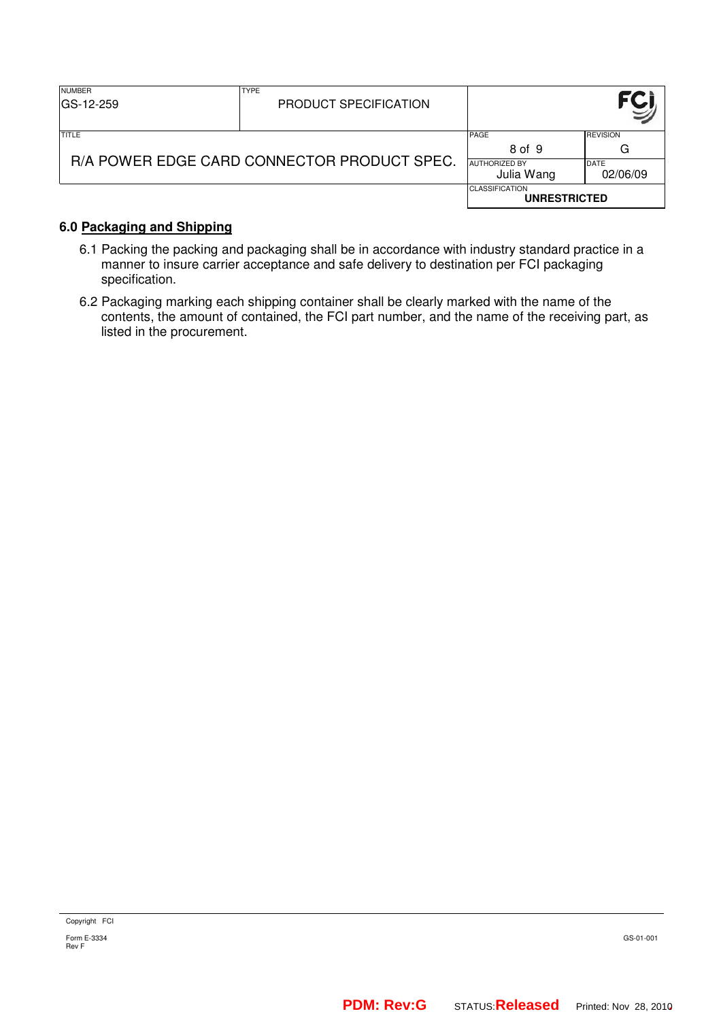| <b>NUMBER</b><br>IGS-12-259                 | <b>TYPE</b><br>PRODUCT SPECIFICATION |                                              |                         |
|---------------------------------------------|--------------------------------------|----------------------------------------------|-------------------------|
| <b>TITLE</b>                                |                                      | <b>PAGE</b><br>8 of 9                        | <b>REVISION</b><br>G    |
| R/A POWER EDGE CARD CONNECTOR PRODUCT SPEC. |                                      | <b>AUTHORIZED BY</b><br>Julia Wang           | <b>DATE</b><br>02/06/09 |
|                                             |                                      | <b>CLASSIFICATION</b><br><b>UNRESTRICTED</b> |                         |

# **6.0 Packaging and Shipping**

- 6.1 Packing the packing and packaging shall be in accordance with industry standard practice in a manner to insure carrier acceptance and safe delivery to destination per FCI packaging specification.
- 6.2 Packaging marking each shipping container shall be clearly marked with the name of the contents, the amount of contained, the FCI part number, and the name of the receiving part, as listed in the procurement.